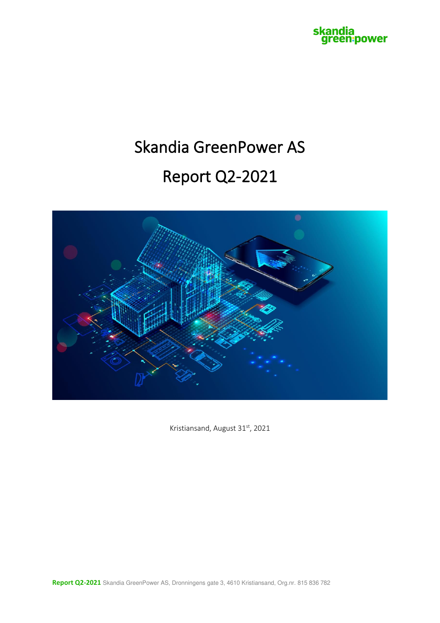

# Skandia GreenPower AS Report Q2-2021



Kristiansand, August 31st, 2021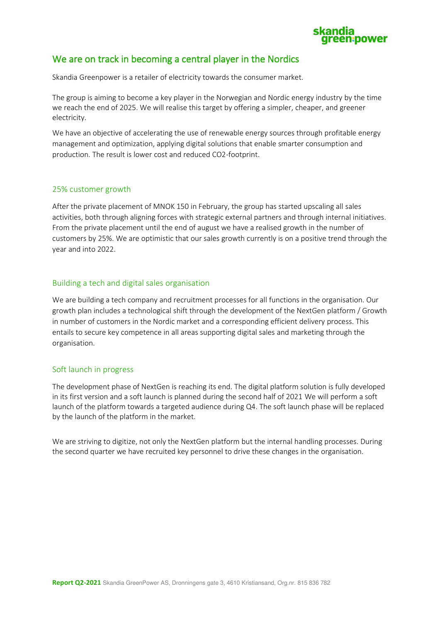

#### We are on track in becoming a central player in the Nordics

Skandia Greenpower is a retailer of electricity towards the consumer market.

The group is aiming to become a key player in the Norwegian and Nordic energy industry by the time we reach the end of 2025. We will realise this target by offering a simpler, cheaper, and greener electricity.

We have an objective of accelerating the use of renewable energy sources through profitable energy management and optimization, applying digital solutions that enable smarter consumption and production. The result is lower cost and reduced CO2-footprint.

#### 25% customer growth

After the private placement of MNOK 150 in February, the group has started upscaling all sales activities, both through aligning forces with strategic external partners and through internal initiatives. From the private placement until the end of august we have a realised growth in the number of customers by 25%. We are optimistic that our sales growth currently is on a positive trend through the year and into 2022.

#### Building a tech and digital sales organisation

We are building a tech company and recruitment processes for all functions in the organisation. Our growth plan includes a technological shift through the development of the NextGen platform / Growth in number of customers in the Nordic market and a corresponding efficient delivery process. This entails to secure key competence in all areas supporting digital sales and marketing through the organisation.

#### Soft launch in progress

The development phase of NextGen is reaching its end. The digital platform solution is fully developed in its first version and a soft launch is planned during the second half of 2021 We will perform a soft launch of the platform towards a targeted audience during Q4. The soft launch phase will be replaced by the launch of the platform in the market.

We are striving to digitize, not only the NextGen platform but the internal handling processes. During the second quarter we have recruited key personnel to drive these changes in the organisation.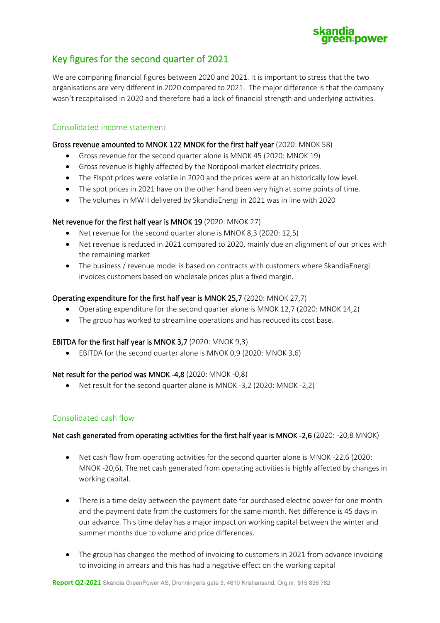## een:power

### Key figures for the second quarter of 2021

We are comparing financial figures between 2020 and 2021. It is important to stress that the two organisations are very different in 2020 compared to 2021. The major difference is that the company wasn't recapitalised in 2020 and therefore had a lack of financial strength and underlying activities.

#### Consolidated income statement

#### Gross revenue amounted to MNOK 122 MNOK for the first half year (2020: MNOK 58)

- Gross revenue for the second quarter alone is MNOK 45 (2020: MNOK 19)
- Gross revenue is highly affected by the Nordpool-market electricity prices.
- The Elspot prices were volatile in 2020 and the prices were at an historically low level.
- The spot prices in 2021 have on the other hand been very high at some points of time.
- The volumes in MWH delivered by SkandiaEnergi in 2021 was in line with 2020

#### Net revenue for the first half year is MNOK 19 (2020: MNOK 27)

- Net revenue for the second quarter alone is MNOK 8,3 (2020: 12,5)
- Net revenue is reduced in 2021 compared to 2020, mainly due an alignment of our prices with the remaining market
- The business / revenue model is based on contracts with customers where SkandiaEnergi invoices customers based on wholesale prices plus a fixed margin.

#### Operating expenditure for the first half year is MNOK 25,7 (2020: MNOK 27,7)

- Operating expenditure for the second quarter alone is MNOK 12,7 (2020: MNOK 14,2)
- The group has worked to streamline operations and has reduced its cost base.

#### EBITDA for the first half year is MNOK 3,7 (2020: MNOK 9,3)

• EBITDA for the second quarter alone is MNOK 0,9 (2020: MNOK 3,6)

#### Net result for the period was MNOK -4,8 (2020: MNOK -0,8)

• Net result for the second quarter alone is MNOK -3,2 (2020: MNOK -2,2)

#### Consolidated cash flow

#### Net cash generated from operating activities for the first half year is MNOK -2,6 (2020: -20,8 MNOK)

- Net cash flow from operating activities for the second quarter alone is MNOK -22,6 (2020: MNOK -20,6). The net cash generated from operating activities is highly affected by changes in working capital.
- There is a time delay between the payment date for purchased electric power for one month and the payment date from the customers for the same month. Net difference is 45 days in our advance. This time delay has a major impact on working capital between the winter and summer months due to volume and price differences.
- The group has changed the method of invoicing to customers in 2021 from advance invoicing to invoicing in arrears and this has had a negative effect on the working capital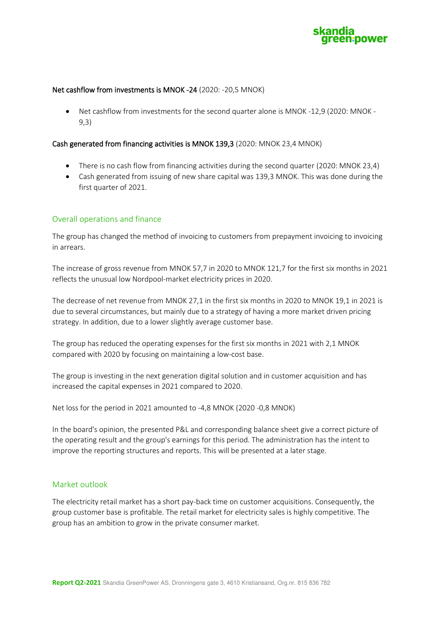

#### Net cashflow from investments is MNOK -24 (2020: -20,5 MNOK)

• Net cashflow from investments for the second quarter alone is MNOK -12,9 (2020: MNOK - 9,3)

#### Cash generated from financing activities is MNOK 139,3 (2020: MNOK 23,4 MNOK)

- There is no cash flow from financing activities during the second quarter (2020: MNOK 23,4)
- Cash generated from issuing of new share capital was 139,3 MNOK. This was done during the first quarter of 2021.

#### Overall operations and finance

The group has changed the method of invoicing to customers from prepayment invoicing to invoicing in arrears.

The increase of gross revenue from MNOK 57,7 in 2020 to MNOK 121,7 for the first six months in 2021 reflects the unusual low Nordpool-market electricity prices in 2020.

The decrease of net revenue from MNOK 27,1 in the first six months in 2020 to MNOK 19,1 in 2021 is due to several circumstances, but mainly due to a strategy of having a more market driven pricing strategy. In addition, due to a lower slightly average customer base.

The group has reduced the operating expenses for the first six months in 2021 with 2,1 MNOK compared with 2020 by focusing on maintaining a low-cost base.

The group is investing in the next generation digital solution and in customer acquisition and has increased the capital expenses in 2021 compared to 2020.

Net loss for the period in 2021 amounted to -4,8 MNOK (2020 -0,8 MNOK)

In the board's opinion, the presented P&L and corresponding balance sheet give a correct picture of the operating result and the group's earnings for this period. The administration has the intent to improve the reporting structures and reports. This will be presented at a later stage.

#### Market outlook

The electricity retail market has a short pay-back time on customer acquisitions. Consequently, the group customer base is profitable. The retail market for electricity sales is highly competitive. The group has an ambition to grow in the private consumer market.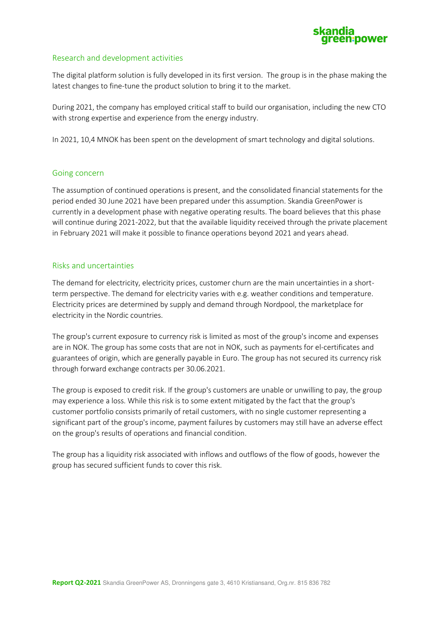

#### Research and development activities

The digital platform solution is fully developed in its first version. The group is in the phase making the latest changes to fine-tune the product solution to bring it to the market.

During 2021, the company has employed critical staff to build our organisation, including the new CTO with strong expertise and experience from the energy industry.

In 2021, 10,4 MNOK has been spent on the development of smart technology and digital solutions.

#### Going concern

The assumption of continued operations is present, and the consolidated financial statements for the period ended 30 June 2021 have been prepared under this assumption. Skandia GreenPower is currently in a development phase with negative operating results. The board believes that this phase will continue during 2021-2022, but that the available liquidity received through the private placement in February 2021 will make it possible to finance operations beyond 2021 and years ahead.

#### Risks and uncertainties

The demand for electricity, electricity prices, customer churn are the main uncertainties in a shortterm perspective. The demand for electricity varies with e.g. weather conditions and temperature. Electricity prices are determined by supply and demand through Nordpool, the marketplace for electricity in the Nordic countries.

The group's current exposure to currency risk is limited as most of the group's income and expenses are in NOK. The group has some costs that are not in NOK, such as payments for el-certificates and guarantees of origin, which are generally payable in Euro. The group has not secured its currency risk through forward exchange contracts per 30.06.2021.

The group is exposed to credit risk. If the group's customers are unable or unwilling to pay, the group may experience a loss. While this risk is to some extent mitigated by the fact that the group's customer portfolio consists primarily of retail customers, with no single customer representing a significant part of the group's income, payment failures by customers may still have an adverse effect on the group's results of operations and financial condition.

The group has a liquidity risk associated with inflows and outflows of the flow of goods, however the group has secured sufficient funds to cover this risk.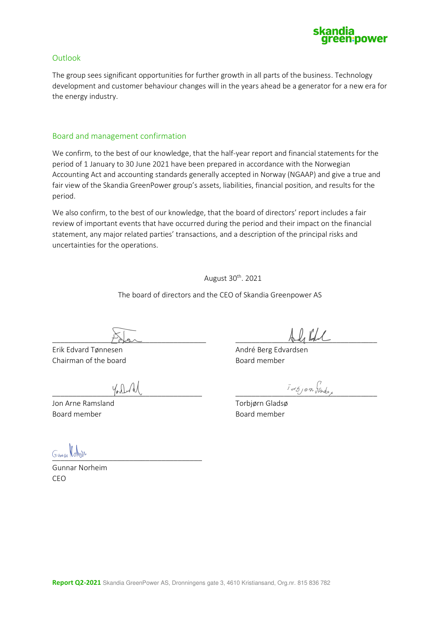

#### **Outlook**

The group sees significant opportunities for further growth in all parts of the business. Technology development and customer behaviour changes will in the years ahead be a generator for a new era for the energy industry.

#### Board and management confirmation

We confirm, to the best of our knowledge, that the half-year report and financial statements for the period of 1 January to 30 June 2021 have been prepared in accordance with the Norwegian Accounting Act and accounting standards generally accepted in Norway (NGAAP) and give a true and fair view of the Skandia GreenPower group's assets, liabilities, financial position, and results for the period.

We also confirm, to the best of our knowledge, that the board of directors' report includes a fair review of important events that have occurred during the period and their impact on the financial statement, any major related parties' transactions, and a description of the principal risks and uncertainties for the operations.

August 30<sup>th</sup>. 2021

The board of directors and the CEO of Skandia Greenpower AS

Erik Edvard Tønnesen André Berg Edvardsen Chairman of the board **Board member** Board member

Jon Arne Ramsland Torbjørn Gladsø Board member Board member

 $P$ Normann  $P$  and  $P$ 

 $\int d^2x$ 

**JURISH ROMBOR** 

Gunnar Norheim CEO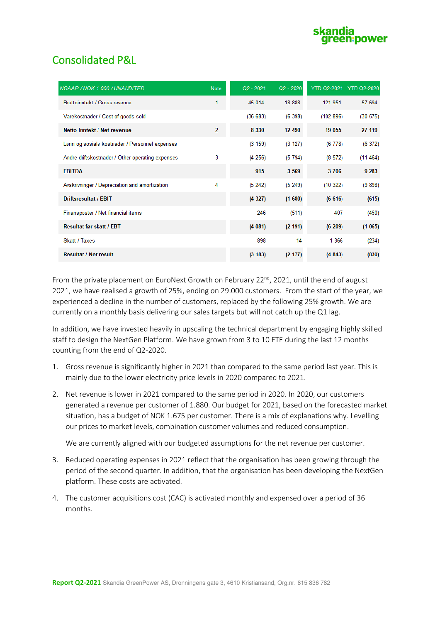

## Consolidated P&L

| NGAAP / NOK 1.000 / UNAUDITED                    | Note           | $Q2 - 2021$ | $Q2 - 2020$ |           | YTD Q2-2021 YTD Q2-2020 |
|--------------------------------------------------|----------------|-------------|-------------|-----------|-------------------------|
| Bruttoinntekt / Gross revenue                    | 1              | 45 014      | 18 888      | 121 951   | 57 694                  |
| Varekostnader / Cost of goods sold               |                | (36663)     | (6398)      | (102 896) | (30 575)                |
| Netto inntekt / Net revenue                      | $\overline{2}$ | 8 3 3 0     | 12 490      | 19 055    | 27 119                  |
| Lønn og sosiale kostnader / Personnel expenses   |                | (3 159)     | (3 127)     | (6778)    | (6372)                  |
| Andre driftskostnader / Other operating expenses | 3              | (4256)      | (5794)      | (8572)    | (11464)                 |
| <b>EBITDA</b>                                    |                | 915         | 3 5 6 9     | 3706      | 9 2 8 3                 |
| Avskrivninger / Depreciation and amortization    | 4              | (5242)      | (5249)      | (10322)   | (9898)                  |
| <b>Driftsresultat / EBIT</b>                     |                | (4327)      | (1680)      | (6616)    | (615)                   |
| Finansposter / Net financial items               |                | 246         | (511)       | 407       | (450)                   |
| <b>Resultat før skatt / EBT</b>                  |                | (4081)      | (2 191)     | (6209)    | (1065)                  |
| Skatt / Taxes                                    |                | 898         | 14          | 1 3 6 6   | (234)                   |
| <b>Resultat / Net result</b>                     |                | (3 183)     | (2 177)     | (4843)    | (830)                   |

From the private placement on EuroNext Growth on February 22<sup>nd</sup>, 2021, until the end of august 2021, we have realised a growth of 25%, ending on 29.000 customers. From the start of the year, we experienced a decline in the number of customers, replaced by the following 25% growth. We are currently on a monthly basis delivering our sales targets but will not catch up the Q1 lag.

In addition, we have invested heavily in upscaling the technical department by engaging highly skilled staff to design the NextGen Platform. We have grown from 3 to 10 FTE during the last 12 months counting from the end of Q2-2020.

- 1. Gross revenue is significantly higher in 2021 than compared to the same period last year. This is mainly due to the lower electricity price levels in 2020 compared to 2021.
- 2. Net revenue is lower in 2021 compared to the same period in 2020. In 2020, our customers generated a revenue per customer of 1.880. Our budget for 2021, based on the forecasted market situation, has a budget of NOK 1.675 per customer. There is a mix of explanations why. Levelling our prices to market levels, combination customer volumes and reduced consumption.

We are currently aligned with our budgeted assumptions for the net revenue per customer.

- 3. Reduced operating expenses in 2021 reflect that the organisation has been growing through the period of the second quarter. In addition, that the organisation has been developing the NextGen platform. These costs are activated.
- 4. The customer acquisitions cost (CAC) is activated monthly and expensed over a period of 36 months.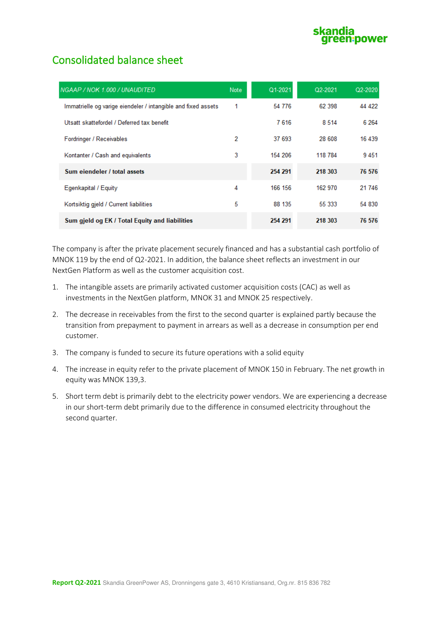## Consolidated balance sheet

| NGAAP / NOK 1.000 / UNAUDITED                                 | <b>Note</b> | Q1-2021 | Q2-2021 | $Q2 - 2020$ |
|---------------------------------------------------------------|-------------|---------|---------|-------------|
| Immatrielle og varige eiendeler / intangible and fixed assets | 1           | 54 776  | 62 398  | 44 422      |
| Utsatt skattefordel / Deferred tax benefit                    |             | 7616    | 8 5 1 4 | 6 2 6 4     |
| Fordringer / Receivables                                      | 2           | 37 693  | 28 608  | 16 439      |
| Kontanter / Cash and equivalents                              | 3           | 154 206 | 118 784 | 9451        |
| Sum eiendeler / total assets                                  |             | 254 291 | 218 303 | 76 576      |
| Egenkapital / Equity                                          | 4           | 166 156 | 162 970 | 21 746      |
| Kortsiktig gjeld / Current liabilities                        | 5           | 88 135  | 55 333  | 54 830      |
| Sum gjeld og EK / Total Equity and liabilities                |             | 254 291 | 218 303 | 76 576      |

The company is after the private placement securely financed and has a substantial cash portfolio of MNOK 119 by the end of Q2-2021. In addition, the balance sheet reflects an investment in our NextGen Platform as well as the customer acquisition cost.

- 1. The intangible assets are primarily activated customer acquisition costs (CAC) as well as investments in the NextGen platform, MNOK 31 and MNOK 25 respectively.
- 2. The decrease in receivables from the first to the second quarter is explained partly because the transition from prepayment to payment in arrears as well as a decrease in consumption per end customer.
- 3. The company is funded to secure its future operations with a solid equity
- 4. The increase in equity refer to the private placement of MNOK 150 in February. The net growth in equity was MNOK 139,3.
- 5. Short term debt is primarily debt to the electricity power vendors. We are experiencing a decrease in our short-term debt primarily due to the difference in consumed electricity throughout the second quarter.